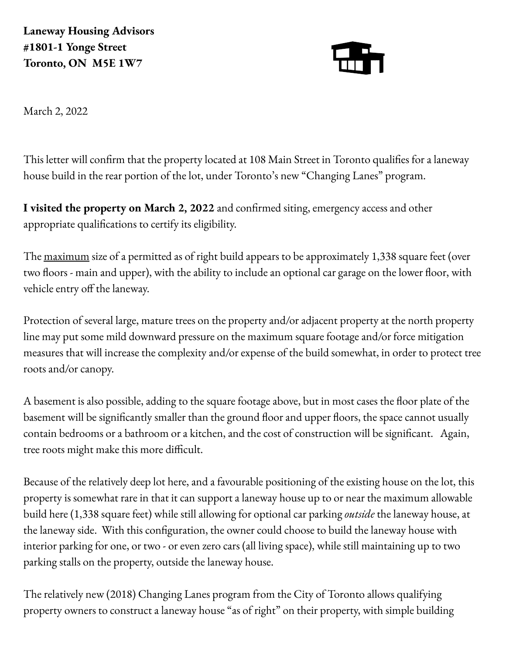**Laneway Housing Advisors #1801-1 Yonge Street Toronto, ON M5E 1W7**



March 2, 2022

This letter will confirm that the property located at 108 Main Street in Toronto qualifies for a laneway house build in the rear portion of the lot, under Toronto's new "Changing Lanes" program.

**I visited the property on March 2, 2022** and confirmed siting, emergency access and other appropriate qualifications to certify its eligibility.

The <u>maximum</u> size of a permitted as of right build appears to be approximately 1,338 square feet (over two floors - main and upper), with the ability to include an optional car garage on the lower floor, with vehicle entry off the laneway.

Protection of several large, mature trees on the property and/or adjacent property at the north property line may put some mild downward pressure on the maximum square footage and/or force mitigation measures that will increase the complexity and/or expense of the build somewhat, in order to protect tree roots and/or canopy.

A basement is also possible, adding to the square footage above, but in most cases the floor plate of the basement will be significantly smaller than the ground floor and upper floors, the space cannot usually contain bedrooms or a bathroom or a kitchen, and the cost of construction will be significant. Again, tree roots might make this more difficult.

Because of the relatively deep lot here, and a favourable positioning of the existing house on the lot, this property is somewhat rare in that it can support a laneway house up to or near the maximum allowable build here (1,338 square feet) while still allowing for optional car parking *outside* the laneway house, at the laneway side. With this configuration, the owner could choose to build the laneway house with interior parking for one, or two - or even zero cars (all living space), while still maintaining up to two parking stalls on the property, outside the laneway house.

The relatively new (2018) Changing Lanes program from the City of Toronto allows qualifying property owners to construct a laneway house "as of right" on their property, with simple building